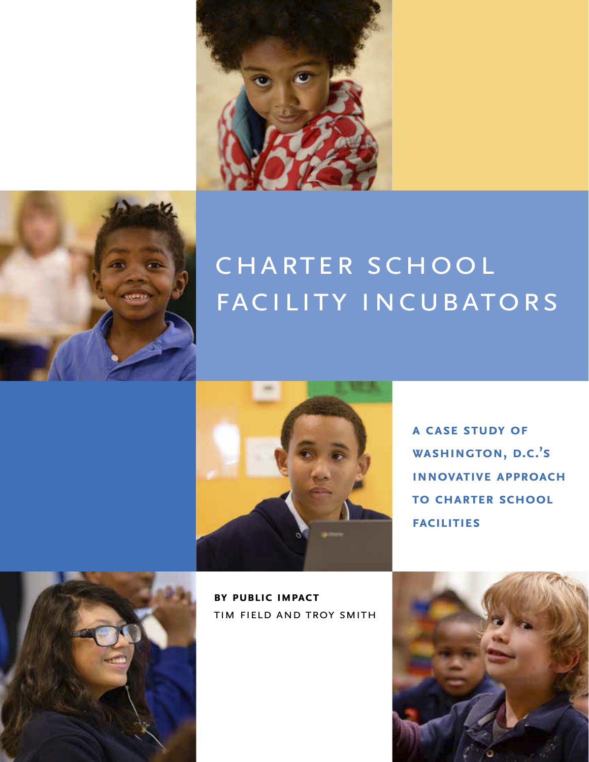



# CHARTER SCHOOL FACILITY INCUBATORS



**A Case Study of Washington, D.C.'s INNOVATIVE APPROACH to Charter School Facilities**



**By Public Impact** Tim Field and Troy Smith

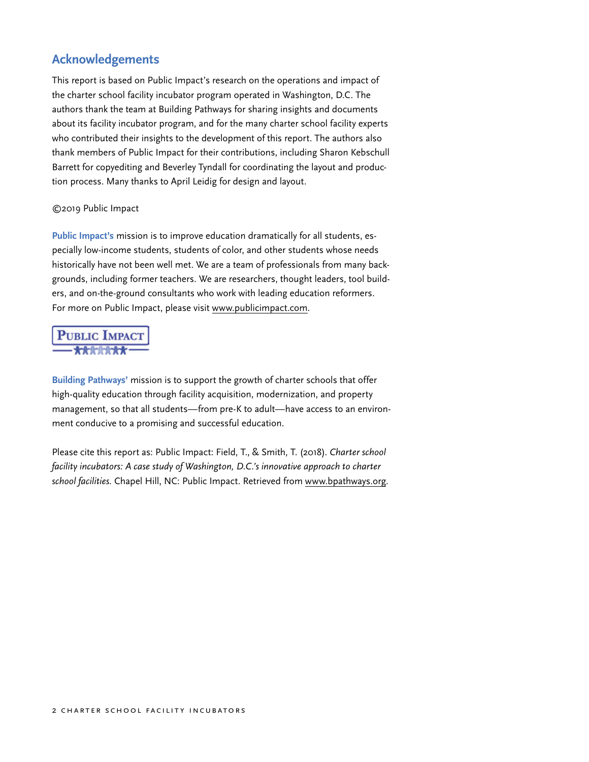# <span id="page-1-0"></span>**Acknowledgements**

This report is based on Public Impact's research on the operations and impact of the charter school facility incubator program operated in Washington, D.C. The authors thank the team at Building Pathways for sharing insights and documents about its facility incubator program, and for the many charter school facility experts who contributed their insights to the development of this report. The authors also thank members of Public Impact for their contributions, including Sharon Kebschull Barrett for copyediting and Beverley Tyndall for coordinating the layout and production process. Many thanks to April Leidig for design and layout.

#### ©2019 Public Impact

**Public Impact's** mission is to improve education dramatically for all students, especially low-income students, students of color, and other students whose needs historically have not been well met. We are a team of professionals from many backgrounds, including former teachers. We are researchers, thought leaders, tool builders, and on-the-ground consultants who work with leading education reformers. For more on Public Impact, please visit [www.publicimpact.com.](http://www.publicimpact.com)

# **PUBLIC IMPACT**

**Building Pathways'** mission is to support the growth of charter schools that offer high-quality education through facility acquisition, modernization, and property management, so that all students—from pre-K to adult—have access to an environment conducive to a promising and successful education.

Please cite this report as: Public Impact: Field, T., & Smith, T. (2018). *Charter school facility incubators: A case study of Washington, D.C.'s innovative approach to charter school facilities.* Chapel Hill, NC: Public Impact. Retrieved from [www.bpathways.org](http://www.bpathways.org).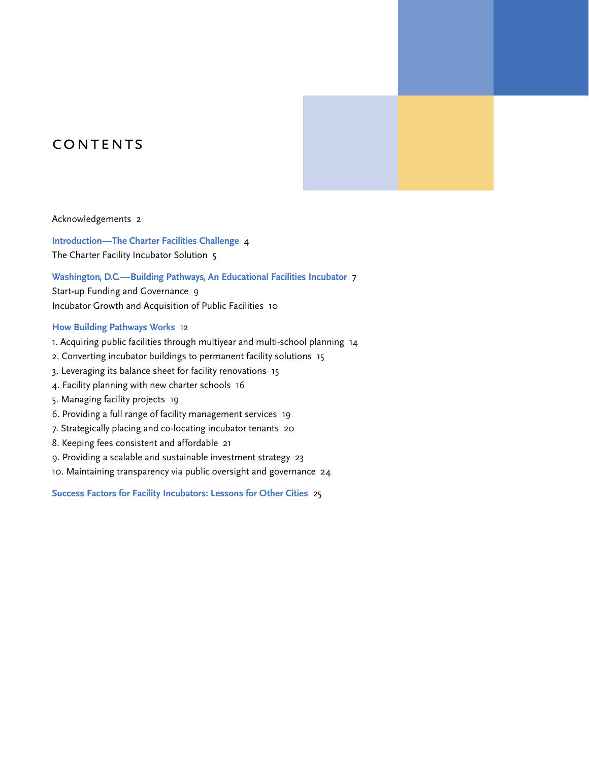# CONTENTS

#### [Acknowledgements 2](#page-1-0)

**[Introduction—The Charter Facilities Challenge](#page-3-0)** 4 The Charter Facility Incubator [Solution 5](#page-4-0)

#### **[Washington, D.C.—Building Pathways, An Educational Facilities Incubator](#page-6-0)** 7

Start**-**up Funding and [Governance 9](#page-8-0) Incubator Growth and Acquisition of Public [Facilities 10](#page-9-0)

#### **[How Building Pathways Works](#page-11-0)** 12

- 1. Acquiring public facilities through multiyear and [multi-school](#page-13-0) planning 14
- 2. Converting incubator buildings to permanent facility [solutions 15](#page-14-0)
- 3. Leveraging its balance sheet for facility [renovations 15](#page-14-0)
- 4. Facility planning with new charter [schools 16](#page-15-0)
- 5. Managing facility [projects 19](#page-18-0)
- 6. Providing a full range of facility [management](#page-18-0) services 19
- 7. [Strategically](#page-19-0) placing and co-locating incubator tenants 20
- 8. Keeping fees consistent and [affordable 21](#page-20-0)
- 9. Providing a scalable and sustainable investment [strategy 23](#page-22-0)
- 10. Maintaining transparency via public oversight and [governance 24](#page-23-0)

**[Success Factors for Facility Incubators: Lessons for Other Cities](#page-24-0)** 25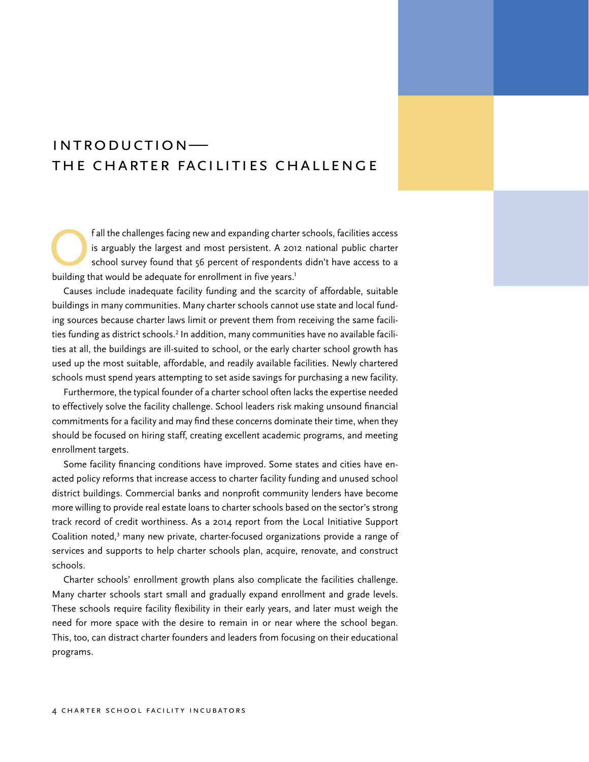# <span id="page-3-0"></span>Introduction— The Charter Facilities Challenge

Fall the challenges facing new and expanding charter schools, facilities access<br>is arguably the largest and most persistent. A 2012 national public charter<br>school survey found that 56 percent of respondents didn't have acc is arguably the largest and most persistent. A 2012 national public charter school survey found that 56 percent of respondents didn't have access to a building that would be adequate for enrollment in five years.<sup>1</sup>

Causes include inadequate facility funding and the scarcity of affordable, suitable buildings in many communities. Many charter schools cannot use state and local funding sources because charter laws limit or prevent them from receiving the same facilities funding as district schools.<sup>2</sup> In addition, many communities have no available facilities at all, the buildings are ill-suited to school, or the early charter school growth has used up the most suitable, affordable, and readily available facilities. Newly chartered schools must spend years attempting to set aside savings for purchasing a new facility.

Furthermore, the typical founder of a charter school often lacks the expertise needed to effectively solve the facility challenge. School leaders risk making unsound financial commitments for a facility and may find these concerns dominate their time, when they should be focused on hiring staff, creating excellent academic programs, and meeting enrollment targets.

Some facility financing conditions have improved. Some states and cities have enacted policy reforms that increase access to charter facility funding and unused school district buildings. Commercial banks and nonprofit community lenders have become more willing to provide real estate loans to charter schools based on the sector's strong track record of credit worthiness. As a 2014 report from the Local Initiative Support Coalition noted, $3$  many new private, charter-focused organizations provide a range of services and supports to help charter schools plan, acquire, renovate, and construct schools.

Charter schools' enrollment growth plans also complicate the facilities challenge. Many charter schools start small and gradually expand enrollment and grade levels. These schools require facility flexibility in their early years, and later must weigh the need for more space with the desire to remain in or near where the school began. This, too, can distract charter founders and leaders from focusing on their educational programs.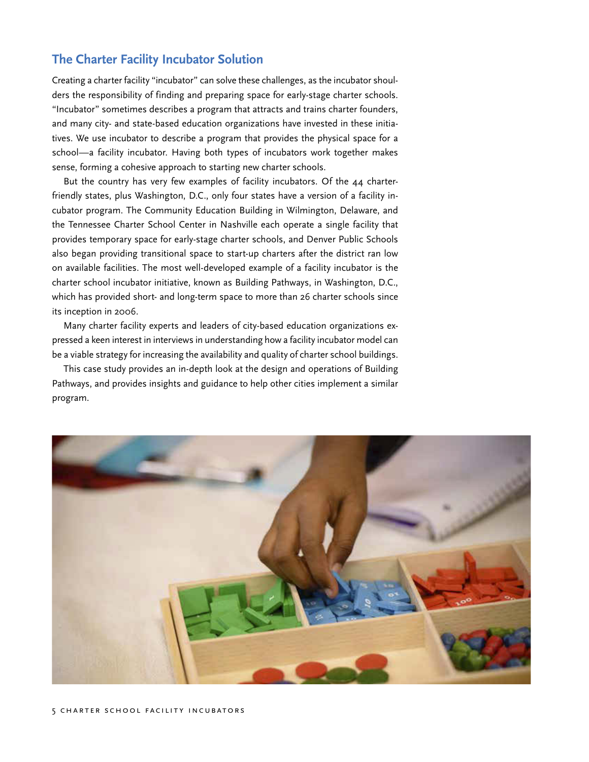## <span id="page-4-0"></span>**The Charter Facility Incubator Solution**

Creating a charter facility "incubator" can solve these challenges, as the incubator shoulders the responsibility of finding and preparing space for early-stage charter schools. "Incubator" sometimes describes a program that attracts and trains charter founders, and many city- and state-based education organizations have invested in these initiatives. We use incubator to describe a program that provides the physical space for a school—a facility incubator. Having both types of incubators work together makes sense, forming a cohesive approach to starting new charter schools.

But the country has very few examples of facility incubators. Of the 44 charterfriendly states, plus Washington, D.C., only four states have a version of a facility incubator program. The Community Education Building in Wilmington, Delaware, and the Tennessee Charter School Center in Nashville each operate a single facility that provides temporary space for early-stage charter schools, and Denver Public Schools also began providing transitional space to start-up charters after the district ran low on available facilities. The most well-developed example of a facility incubator is the charter school incubator initiative, known as Building Pathways, in Washington, D.C., which has provided short- and long-term space to more than 26 charter schools since its inception in 2006.

Many charter facility experts and leaders of city-based education organizations expressed a keen interest in interviews in understanding how a facility incubator model can be a viable strategy for increasing the availability and quality of charter school buildings.

This case study provides an in-depth look at the design and operations of Building Pathways, and provides insights and guidance to help other cities implement a similar program.

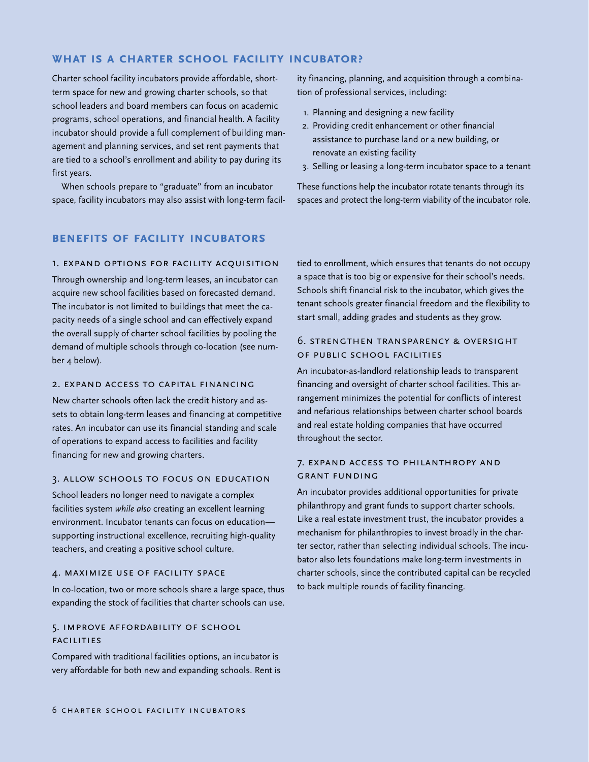#### **What is a charter school facility incubator?**

Charter school facility incubators provide affordable, shortterm space for new and growing charter schools, so that school leaders and board members can focus on academic programs, school operations, and financial health. A facility incubator should provide a full complement of building management and planning services, and set rent payments that are tied to a school's enrollment and ability to pay during its first years.

When schools prepare to "graduate" from an incubator space, facility incubators may also assist with long-term facil-

#### **Benefits of Facility Incubators**

#### 1. Expand Options for Facility Acquisition

Through ownership and long-term leases, an incubator can acquire new school facilities based on forecasted demand. The incubator is not limited to buildings that meet the capacity needs of a single school and can effectively expand the overall supply of charter school facilities by pooling the demand of multiple schools through co-location (see number 4 below).

#### 2. Expand Access to Capital Financing

New charter schools often lack the credit history and assets to obtain long-term leases and financing at competitive rates. An incubator can use its financial standing and scale of operations to expand access to facilities and facility financing for new and growing charters.

#### 3. Allow Schools to Focus on Education

School leaders no longer need to navigate a complex facilities system *while also* creating an excellent learning environment. Incubator tenants can focus on education supporting instructional excellence, recruiting high-quality teachers, and creating a positive school culture.

#### 4. Maximize Use of Facility Space

In co-location, two or more schools share a large space, thus expanding the stock of facilities that charter schools can use.

#### 5. Improve Affordability of School **FACILITIES**

Compared with traditional facilities options, an incubator is very affordable for both new and expanding schools. Rent is ity financing, planning, and acquisition through a combination of professional services, including:

- 1. Planning and designing a new facility
- 2. Providing credit enhancement or other financial assistance to purchase land or a new building, or renovate an existing facility
- 3. Selling or leasing a long-term incubator space to a tenant

These functions help the incubator rotate tenants through its spaces and protect the long-term viability of the incubator role.

tied to enrollment, which ensures that tenants do not occupy a space that is too big or expensive for their school's needs. Schools shift financial risk to the incubator, which gives the tenant schools greater financial freedom and the flexibility to start small, adding grades and students as they grow.

#### 6. Strengthen Transparency & Oversight of Public School Facilities

An incubator-as-landlord relationship leads to transparent financing and oversight of charter school facilities. This arrangement minimizes the potential for conflicts of interest and nefarious relationships between charter school boards and real estate holding companies that have occurred throughout the sector.

#### 7. Expand Access to Philanthropy and Grant Funding

An incubator provides additional opportunities for private philanthropy and grant funds to support charter schools. Like a real estate investment trust, the incubator provides a mechanism for philanthropies to invest broadly in the charter sector, rather than selecting individual schools. The incubator also lets foundations make long-term investments in charter schools, since the contributed capital can be recycled to back multiple rounds of facility financing.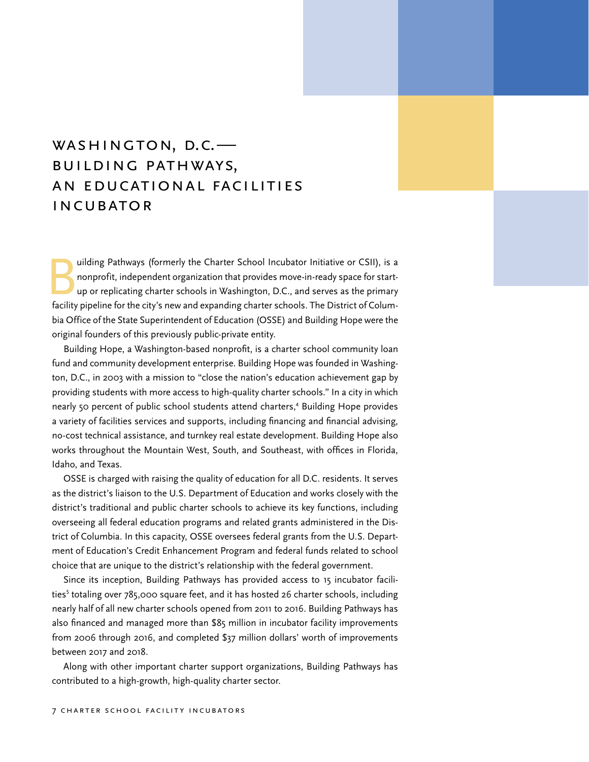# <span id="page-6-0"></span>WASHINGTON, D.C. Building Pathways, An Educational Facilities **INCUBATOR**

uilding Pathways (formerly the Charter School Incubator Initiative or CSII), is a<br>nonprofit, independent organization that provides move-in-ready space for start-<br>up or replicating charter schools in Washington, D.C., and nonprofit, independent organization that provides move-in-ready space for startup or replicating charter schools in Washington, D.C., and serves as the primary facility pipeline for the city's new and expanding charter schools. The District of Columbia Office of the State Superintendent of Education (OSSE) and Building Hope were the original founders of this previously public-private entity.

Building Hope, a Washington-based nonprofit, is a charter school community loan fund and community development enterprise. Building Hope was founded in Washington, D.C., in 2003 with a mission to "close the nation's education achievement gap by providing students with more access to high-quality charter schools." In a city in which nearly 50 percent of public school students attend charters,<sup>4</sup> Building Hope provides a variety of facilities services and supports, including financing and financial advising, no-cost technical assistance, and turnkey real estate development. Building Hope also works throughout the Mountain West, South, and Southeast, with offices in Florida, Idaho, and Texas.

OSSE is charged with raising the quality of education for all D.C. residents. It serves as the district's liaison to the U.S. Department of Education and works closely with the district's traditional and public charter schools to achieve its key functions, including overseeing all federal education programs and related grants administered in the District of Columbia. In this capacity, OSSE oversees federal grants from the U.S. Department of Education's Credit Enhancement Program and federal funds related to school choice that are unique to the district's relationship with the federal government.

Since its inception, Building Pathways has provided access to 15 incubator facilities<sup>5</sup> totaling over 785,000 square feet, and it has hosted 26 charter schools, including nearly half of all new charter schools opened from 2011 to 2016. Building Pathways has also financed and managed more than \$85 million in incubator facility improvements from 2006 through 2016, and completed \$37 million dollars' worth of improvements between 2017 and 2018.

Along with other important charter support organizations, Building Pathways has contributed to a high-growth, high-quality charter sector.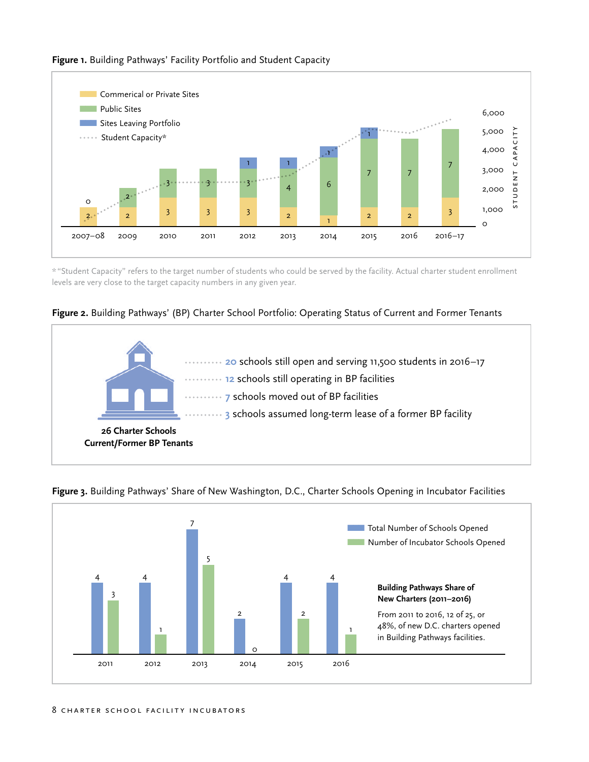

**Figure 1.** Building Pathways' Facility Portfolio and Student Capacity

\*"Student Capacity" refers to the target number of students who could be served by the facility. Actual charter student enrollment levels are very close to the target capacity numbers in any given year.

### **Figure 2.** Building Pathways' (BP) Charter School Portfolio: Operating Status of Current and Former Tenants

![](_page_7_Figure_4.jpeg)

![](_page_7_Figure_5.jpeg)

**Figure 3.** Building Pathways' Share of New Washington, D.C., Charter Schools Opening in Incubator Facilities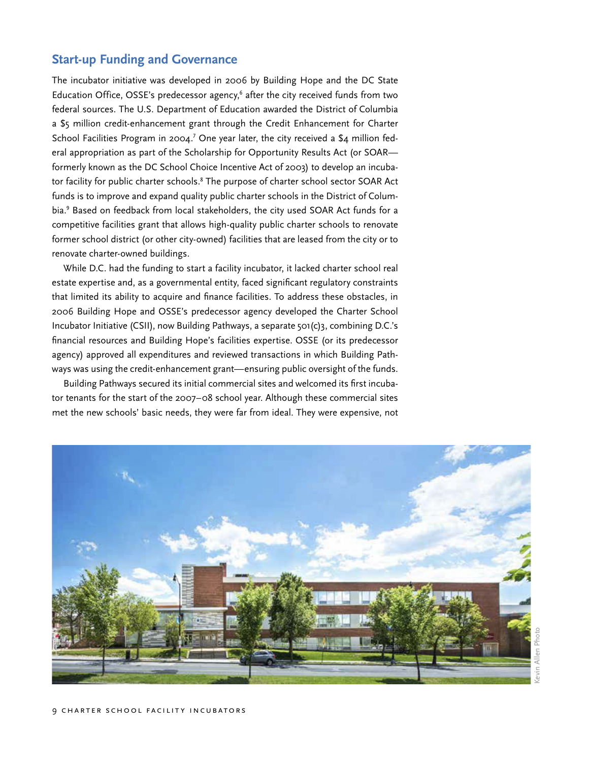# <span id="page-8-0"></span>**Start-up Funding and Governance**

The incubator initiative was developed in 2006 by Building Hope and the DC State Education Office, OSSE's predecessor agency,<sup>6</sup> after the city received funds from two federal sources. The U.S. Department of Education awarded the District of Columbia a \$5 million credit-enhancement grant through the Credit Enhancement for Charter School Facilities Program in 2004.<sup>7</sup> One year later, the city received a \$4 million federal appropriation as part of the Scholarship for Opportunity Results Act (or SOAR formerly known as the DC School Choice Incentive Act of 2003) to develop an incubator facility for public charter schools.<sup>8</sup> The purpose of charter school sector SOAR Act funds is to improve and expand quality public charter schools in the District of Columbia.<sup>9</sup> Based on feedback from local stakeholders, the city used SOAR Act funds for a competitive facilities grant that allows high-quality public charter schools to renovate former school district (or other city-owned) facilities that are leased from the city or to renovate charter-owned buildings.

While D.C. had the funding to start a facility incubator, it lacked charter school real estate expertise and, as a governmental entity, faced significant regulatory constraints that limited its ability to acquire and finance facilities. To address these obstacles, in 2006 Building Hope and OSSE's predecessor agency developed the Charter School Incubator Initiative (CSII), now Building Pathways, a separate 501(c)3, combining D.C.'s financial resources and Building Hope's facilities expertise. OSSE (or its predecessor agency) approved all expenditures and reviewed transactions in which Building Pathways was using the credit-enhancement grant—ensuring public oversight of the funds.

Building Pathways secured its initial commercial sites and welcomed its first incubator tenants for the start of the 2007–08 school year. Although these commercial sites met the new schools' basic needs, they were far from ideal. They were expensive, not

![](_page_8_Picture_4.jpeg)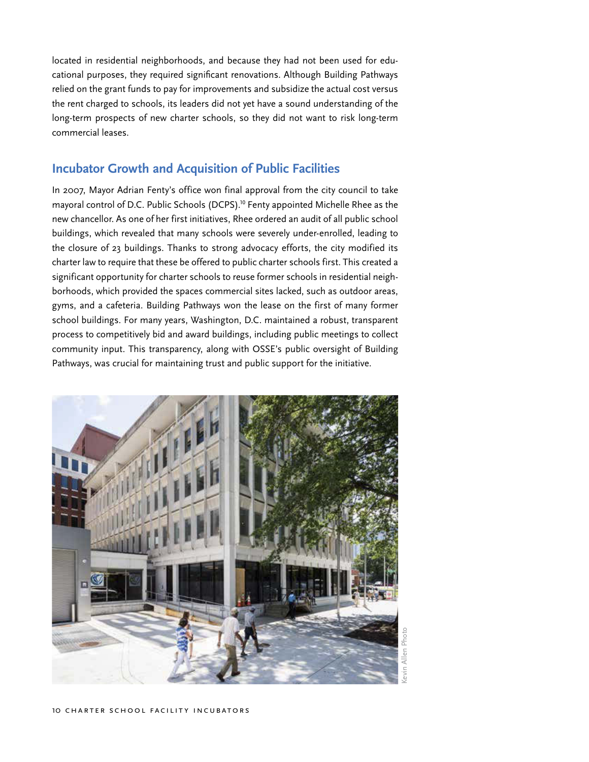<span id="page-9-0"></span>located in residential neighborhoods, and because they had not been used for educational purposes, they required significant renovations. Although Building Pathways relied on the grant funds to pay for improvements and subsidize the actual cost versus the rent charged to schools, its leaders did not yet have a sound understanding of the long-term prospects of new charter schools, so they did not want to risk long-term commercial leases.

## **Incubator Growth and Acquisition of Public Facilities**

In 2007, Mayor Adrian Fenty's office won final approval from the city council to take mayoral control of D.C. Public Schools (DCPS).<sup>10</sup> Fenty appointed Michelle Rhee as the new chancellor. As one of her first initiatives, Rhee ordered an audit of all public school buildings, which revealed that many schools were severely under-enrolled, leading to the closure of 23 buildings. Thanks to strong advocacy efforts, the city modified its charter law to require that these be offered to public charter schools first. This created a significant opportunity for charter schools to reuse former schools in residential neighborhoods, which provided the spaces commercial sites lacked, such as outdoor areas, gyms, and a cafeteria. Building Pathways won the lease on the first of many former school buildings. For many years, Washington, D.C. maintained a robust, transparent process to competitively bid and award buildings, including public meetings to collect community input. This transparency, along with OSSE's public oversight of Building Pathways, was crucial for maintaining trust and public support for the initiative.

![](_page_9_Picture_3.jpeg)

Kevin Allen PhotoAllen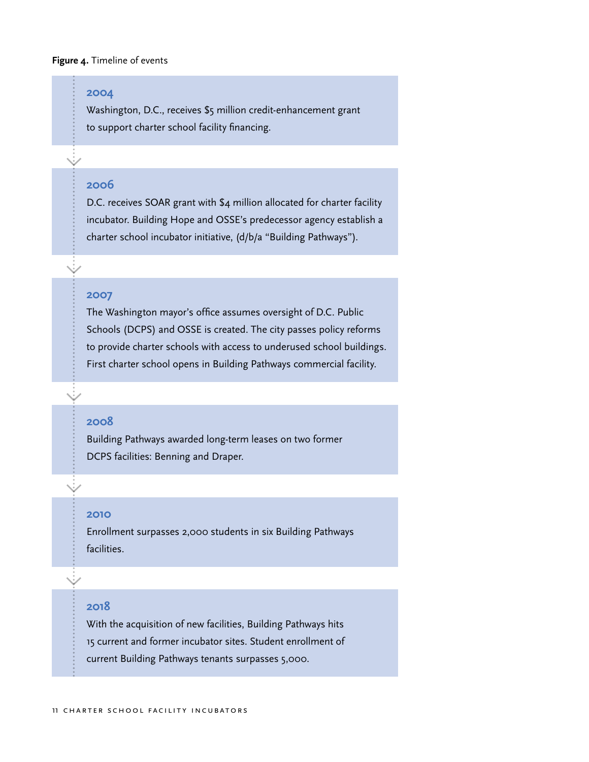#### **Figure 4.** Timeline of events

#### **2004**

Washington, D.C., receives \$5 million credit-enhancement grant to support charter school facility financing.

#### **2006**

D.C. receives SOAR grant with \$4 million allocated for charter facility incubator. Building Hope and OSSE's predecessor agency establish a charter school incubator initiative, (d/b/a "Building Pathways").

#### **2007**

The Washington mayor's office assumes oversight of D.C. Public Schools (DCPS) and OSSE is created. The city passes policy reforms to provide charter schools with access to underused school buildings. First charter school opens in Building Pathways commercial facility.

#### **2008**

Building Pathways awarded long-term leases on two former DCPS facilities: Benning and Draper.

#### **2010**

Enrollment surpasses 2,000 students in six Building Pathways facilities.

#### **2018**

With the acquisition of new facilities, Building Pathways hits 15 current and former incubator sites. Student enrollment of current Building Pathways tenants surpasses 5,000.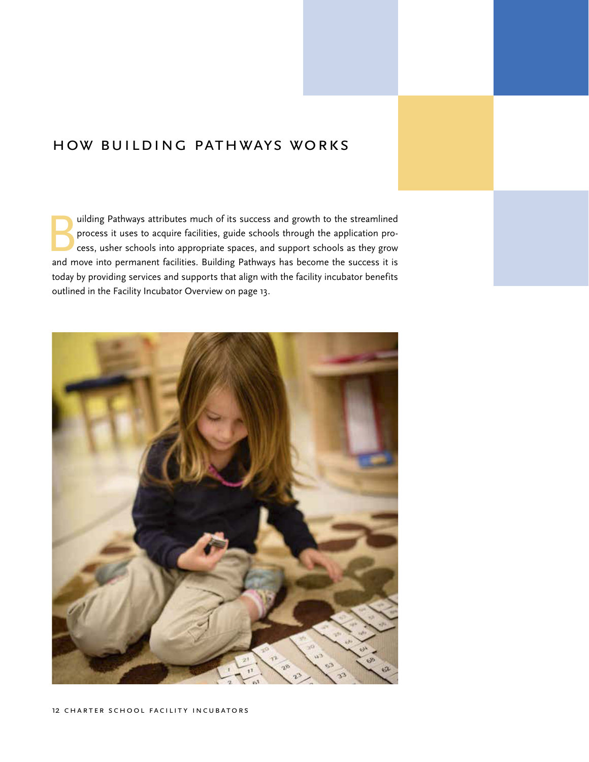# <span id="page-11-0"></span>How Building Pathways Works

uilding Pathways attributes much of its success and growth to the streamlined process it uses to acquire facilities, guide schools through the application process, usher schools into appropriate spaces, and support schools as they grow and move into permanent facilities. Building Pathways has become the success it is today by providing services and supports that align with the facility incubator benefits outlined in the Facility Incubator Overview on page 13.

![](_page_11_Picture_2.jpeg)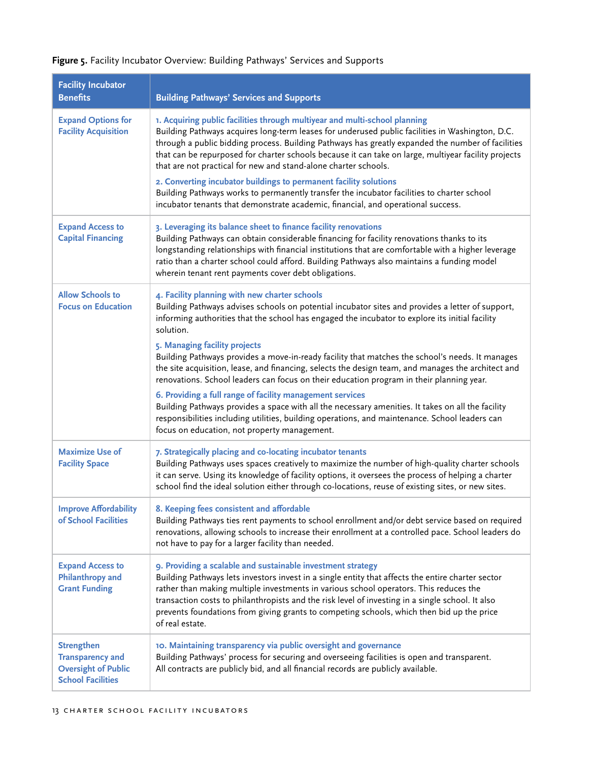| <b>Facility Incubator</b><br><b>Benefits</b>                                                           | <b>Building Pathways' Services and Supports</b>                                                                                                                                                                                                                                                                                                                                                                                                                                                                                                                                                                                                                                                                      |
|--------------------------------------------------------------------------------------------------------|----------------------------------------------------------------------------------------------------------------------------------------------------------------------------------------------------------------------------------------------------------------------------------------------------------------------------------------------------------------------------------------------------------------------------------------------------------------------------------------------------------------------------------------------------------------------------------------------------------------------------------------------------------------------------------------------------------------------|
| <b>Expand Options for</b><br><b>Facility Acquisition</b>                                               | 1. Acquiring public facilities through multiyear and multi-school planning<br>Building Pathways acquires long-term leases for underused public facilities in Washington, D.C.<br>through a public bidding process. Building Pathways has greatly expanded the number of facilities<br>that can be repurposed for charter schools because it can take on large, multiyear facility projects<br>that are not practical for new and stand-alone charter schools.<br>2. Converting incubator buildings to permanent facility solutions<br>Building Pathways works to permanently transfer the incubator facilities to charter school<br>incubator tenants that demonstrate academic, financial, and operational success. |
| <b>Expand Access to</b><br><b>Capital Financing</b>                                                    | 3. Leveraging its balance sheet to finance facility renovations<br>Building Pathways can obtain considerable financing for facility renovations thanks to its<br>longstanding relationships with financial institutions that are comfortable with a higher leverage<br>ratio than a charter school could afford. Building Pathways also maintains a funding model<br>wherein tenant rent payments cover debt obligations.                                                                                                                                                                                                                                                                                            |
| <b>Allow Schools to</b><br><b>Focus on Education</b>                                                   | 4. Facility planning with new charter schools<br>Building Pathways advises schools on potential incubator sites and provides a letter of support,<br>informing authorities that the school has engaged the incubator to explore its initial facility<br>solution.                                                                                                                                                                                                                                                                                                                                                                                                                                                    |
|                                                                                                        | 5. Managing facility projects<br>Building Pathways provides a move-in-ready facility that matches the school's needs. It manages<br>the site acquisition, lease, and financing, selects the design team, and manages the architect and<br>renovations. School leaders can focus on their education program in their planning year.                                                                                                                                                                                                                                                                                                                                                                                   |
|                                                                                                        | 6. Providing a full range of facility management services<br>Building Pathways provides a space with all the necessary amenities. It takes on all the facility<br>responsibilities including utilities, building operations, and maintenance. School leaders can<br>focus on education, not property management.                                                                                                                                                                                                                                                                                                                                                                                                     |
| <b>Maximize Use of</b><br><b>Facility Space</b>                                                        | 7. Strategically placing and co-locating incubator tenants<br>Building Pathways uses spaces creatively to maximize the number of high-quality charter schools<br>it can serve. Using its knowledge of facility options, it oversees the process of helping a charter<br>school find the ideal solution either through co-locations, reuse of existing sites, or new sites.                                                                                                                                                                                                                                                                                                                                           |
| <b>Improve Affordability</b><br>of School Facilities                                                   | 8. Keeping fees consistent and affordable<br>Building Pathways ties rent payments to school enrollment and/or debt service based on required<br>renovations, allowing schools to increase their enrollment at a controlled pace. School leaders do<br>not have to pay for a larger facility than needed.                                                                                                                                                                                                                                                                                                                                                                                                             |
| <b>Expand Access to</b><br><b>Philanthropy and</b><br><b>Grant Funding</b>                             | 9. Providing a scalable and sustainable investment strategy<br>Building Pathways lets investors invest in a single entity that affects the entire charter sector<br>rather than making multiple investments in various school operators. This reduces the<br>transaction costs to philanthropists and the risk level of investing in a single school. It also<br>prevents foundations from giving grants to competing schools, which then bid up the price<br>of real estate.                                                                                                                                                                                                                                        |
| <b>Strengthen</b><br><b>Transparency and</b><br><b>Oversight of Public</b><br><b>School Facilities</b> | 10. Maintaining transparency via public oversight and governance<br>Building Pathways' process for securing and overseeing facilities is open and transparent.<br>All contracts are publicly bid, and all financial records are publicly available.                                                                                                                                                                                                                                                                                                                                                                                                                                                                  |

# **Figure 5.** Facility Incubator Overview: Building Pathways' Services and Supports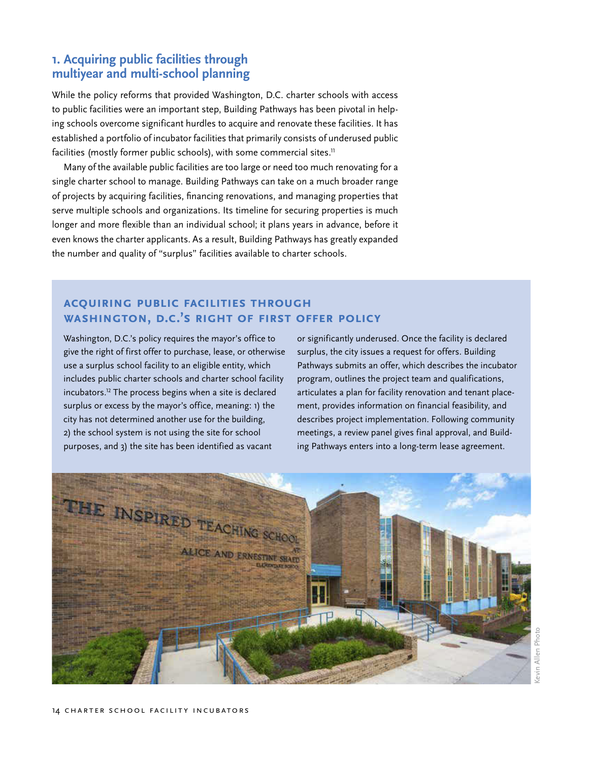# <span id="page-13-0"></span>**1. Acquiring public facilities through multiyear and multi-school planning**

While the policy reforms that provided Washington, D.C. charter schools with access to public facilities were an important step, Building Pathways has been pivotal in helping schools overcome significant hurdles to acquire and renovate these facilities. It has established a portfolio of incubator facilities that primarily consists of underused public facilities (mostly former public schools), with some commercial sites.<sup>11</sup>

Many of the available public facilities are too large or need too much renovating for a single charter school to manage. Building Pathways can take on a much broader range of projects by acquiring facilities, financing renovations, and managing properties that serve multiple schools and organizations. Its timeline for securing properties is much longer and more flexible than an individual school; it plans years in advance, before it even knows the charter applicants. As a result, Building Pathways has greatly expanded the number and quality of "surplus" facilities available to charter schools.

# **Acquiring Public Facilities through Washington, D.C.'s Right of First Offer Policy**

Washington, D.C.'s policy requires the mayor's office to give the right of first offer to purchase, lease, or otherwise use a surplus school facility to an eligible entity, which includes public charter schools and charter school facility incubators.<sup>12</sup> The process begins when a site is declared surplus or excess by the mayor's office, meaning: 1) the city has not determined another use for the building, 2) the school system is not using the site for school purposes, and 3) the site has been identified as vacant

or significantly underused. Once the facility is declared surplus, the city issues a request for offers. Building Pathways submits an offer, which describes the incubator program, outlines the project team and qualifications, articulates a plan for facility renovation and tenant placement, provides information on financial feasibility, and describes project implementation. Following community meetings, a review panel gives final approval, and Building Pathways enters into a long-term lease agreement.

![](_page_13_Picture_6.jpeg)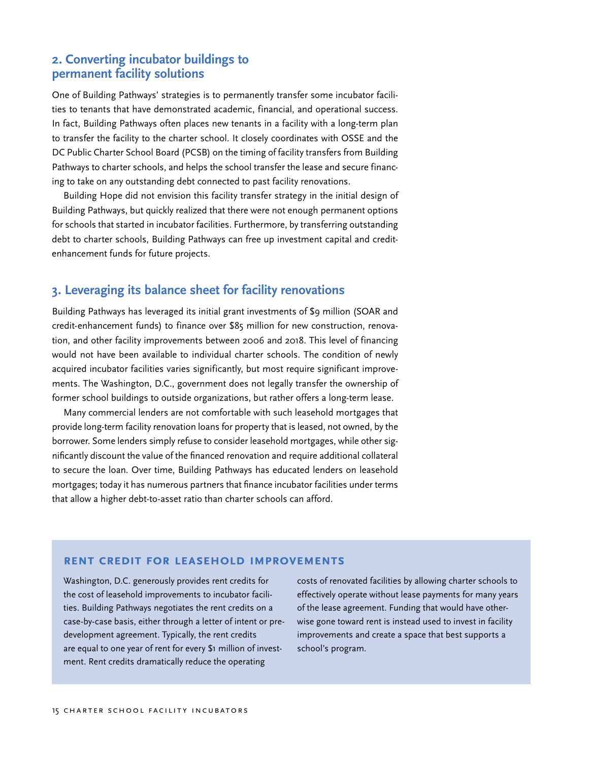## <span id="page-14-0"></span>**2. Converting incubator buildings to permanent facility solutions**

One of Building Pathways' strategies is to permanently transfer some incubator facilities to tenants that have demonstrated academic, financial, and operational success. In fact, Building Pathways often places new tenants in a facility with a long-term plan to transfer the facility to the charter school. It closely coordinates with OSSE and the DC Public Charter School Board (PCSB) on the timing of facility transfers from Building Pathways to charter schools, and helps the school transfer the lease and secure financing to take on any outstanding debt connected to past facility renovations.

Building Hope did not envision this facility transfer strategy in the initial design of Building Pathways, but quickly realized that there were not enough permanent options for schools that started in incubator facilities. Furthermore, by transferring outstanding debt to charter schools, Building Pathways can free up investment capital and creditenhancement funds for future projects.

## **3. Leveraging its balance sheet for facility renovations**

Building Pathways has leveraged its initial grant investments of \$9 million (SOAR and credit-enhancement funds) to finance over \$85 million for new construction, renovation, and other facility improvements between 2006 and 2018. This level of financing would not have been available to individual charter schools. The condition of newly acquired incubator facilities varies significantly, but most require significant improvements. The Washington, D.C., government does not legally transfer the ownership of former school buildings to outside organizations, but rather offers a long-term lease.

Many commercial lenders are not comfortable with such leasehold mortgages that provide long-term facility renovation loans for property that is leased, not owned, by the borrower. Some lenders simply refuse to consider leasehold mortgages, while other significantly discount the value of the financed renovation and require additional collateral to secure the loan. Over time, Building Pathways has educated lenders on leasehold mortgages; today it has numerous partners that finance incubator facilities under terms that allow a higher debt-to-asset ratio than charter schools can afford.

#### **Rent Credit for Leasehold Improvements**

Washington, D.C. generously provides rent credits for the cost of leasehold improvements to incubator facilities. Building Pathways negotiates the rent credits on a case-by-case basis, either through a letter of intent or predevelopment agreement. Typically, the rent credits are equal to one year of rent for every \$1 million of investment. Rent credits dramatically reduce the operating

costs of renovated facilities by allowing charter schools to effectively operate without lease payments for many years of the lease agreement. Funding that would have otherwise gone toward rent is instead used to invest in facility improvements and create a space that best supports a school's program.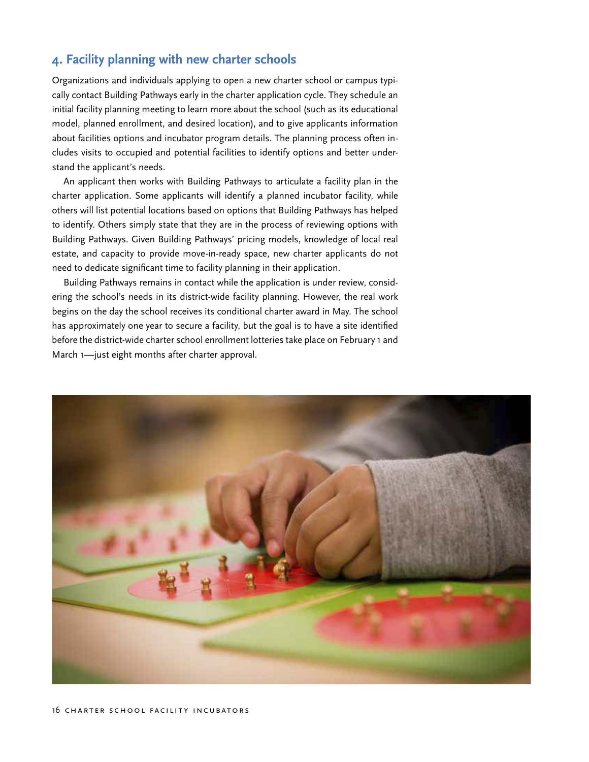# <span id="page-15-0"></span>**4. Facility planning with new charter schools**

Organizations and individuals applying to open a new charter school or campus typically contact Building Pathways early in the charter application cycle. They schedule an initial facility planning meeting to learn more about the school (such as its educational model, planned enrollment, and desired location), and to give applicants information about facilities options and incubator program details. The planning process often includes visits to occupied and potential facilities to identify options and better understand the applicant's needs.

An applicant then works with Building Pathways to articulate a facility plan in the charter application. Some applicants will identify a planned incubator facility, while others will list potential locations based on options that Building Pathways has helped to identify. Others simply state that they are in the process of reviewing options with Building Pathways. Given Building Pathways' pricing models, knowledge of local real estate, and capacity to provide move-in-ready space, new charter applicants do not need to dedicate significant time to facility planning in their application.

Building Pathways remains in contact while the application is under review, considering the school's needs in its district-wide facility planning. However, the real work begins on the day the school receives its conditional charter award in May. The school has approximately one year to secure a facility, but the goal is to have a site identified before the district-wide charter school enrollment lotteries take place on February 1 and March 1-just eight months after charter approval.

![](_page_15_Picture_4.jpeg)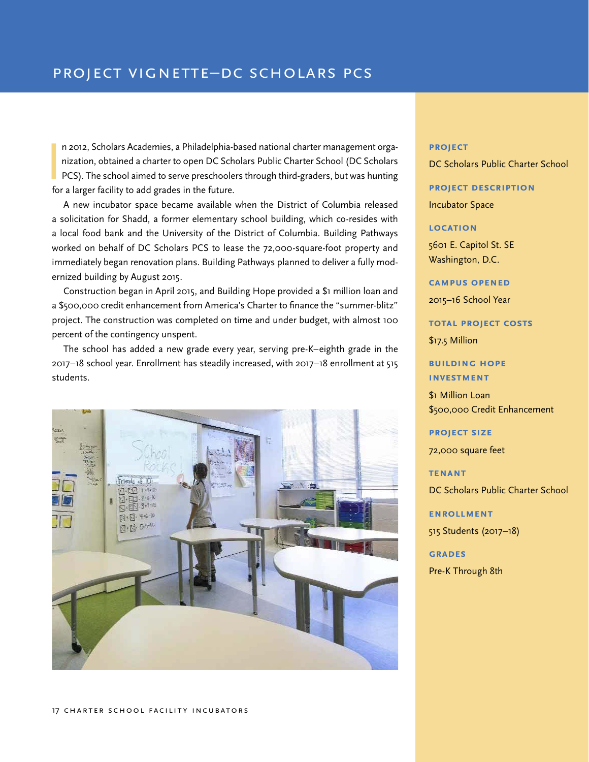$\frac{1}{2}$ n 2012, Scholars Academies, a Philadelphia-based national charter management organization, obtained a charter to open DC Scholars Public Charter School (DC Scholars PCS). The school aimed to serve preschoolers through third-graders, but was hunting for a larger facility to add grades in the future.

A new incubator space became available when the District of Columbia released a solicitation for Shadd, a former elementary school building, which co-resides with a local food bank and the University of the District of Columbia. Building Pathways worked on behalf of DC Scholars PCS to lease the 72,000-square-foot property and immediately began renovation plans. Building Pathways planned to deliver a fully modernized building by August 2015.

Construction began in April 2015, and Building Hope provided a \$1 million loan and a \$500,000 credit enhancement from America's Charter to finance the "summer-blitz" project. The construction was completed on time and under budget, with almost 100 percent of the contingency unspent.

The school has added a new grade every year, serving pre-K–eighth grade in the 2017–18 school year. Enrollment has steadily increased, with 2017–18 enrollment at 515 students.

![](_page_16_Picture_5.jpeg)

#### **project**

DC Scholars Public Charter School

**project description** Incubator Space

**location**

5601 E. Capitol St. SE Washington, D.C.

**campus opened** 2015–16 School Year

**total project costs**

\$17.5 Million

**building hope investment**

\$1 Million Loan \$500,000 Credit Enhancement

**project size**

72,000 square feet

#### **tenant**

DC Scholars Public Charter School

**ENROLLMENT** 

515 Students (2017–18)

**grades** Pre-K Through 8th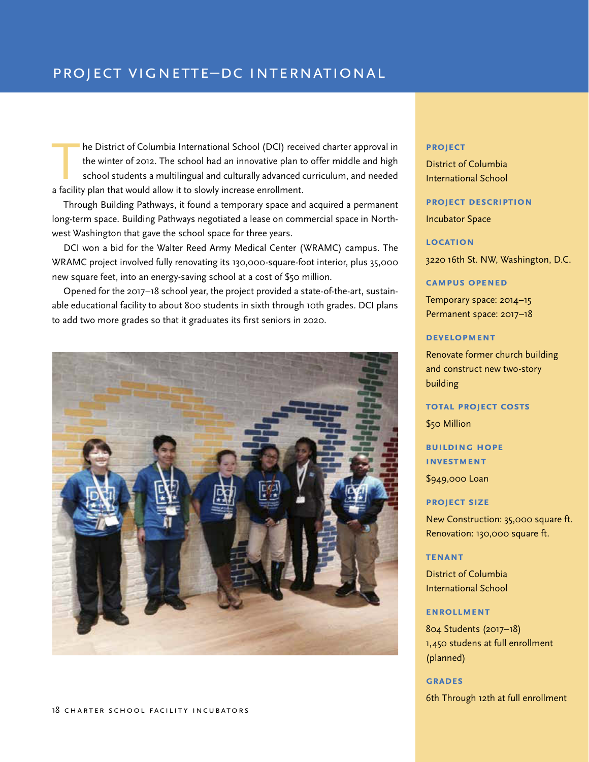The District of Columbia International School (DCI) received charter approval in<br>the winter of 2012. The school had an innovative plan to offer middle and high<br>school students a multilingual and culturally advanced curricu the winter of 2012. The school had an innovative plan to offer middle and high school students a multilingual and culturally advanced curriculum, and needed a facility plan that would allow it to slowly increase enrollment.

Through Building Pathways, it found a temporary space and acquired a permanent long-term space. Building Pathways negotiated a lease on commercial space in Northwest Washington that gave the school space for three years.

DCI won a bid for the Walter Reed Army Medical Center (WRAMC) campus. The WRAMC project involved fully renovating its 130,000-square-foot interior, plus 35,000 new square feet, into an energy-saving school at a cost of \$50 million.

Opened for the 2017–18 school year, the project provided a state-of-the-art, sustainable educational facility to about 800 students in sixth through 10th grades. DCI plans to add two more grades so that it graduates its first seniors in 2020.

![](_page_17_Picture_5.jpeg)

#### 18 CHARTER SCHOOL FACILITY INCUBATORS

#### **project**

District of Columbia International School

#### **project description**

Incubator Space

#### **location**

3220 16th St. NW, Washington, D.C.

#### **campus opened**

Temporary space: 2014–15 Permanent space: 2017–18

#### **development**

Renovate former church building and construct new two-story building

#### **total project costs**

\$50 Million

**building hope investment**

\$949,000 Loan

#### **project size**

New Construction: 35,000 square ft. Renovation: 130,000 square ft.

#### **tenant**

District of Columbia International School

#### **ENROLLMENT**

804 Students (2017–18) 1,450 studens at full enrollment (planned)

#### **grades**

6th Through 12th at full enrollment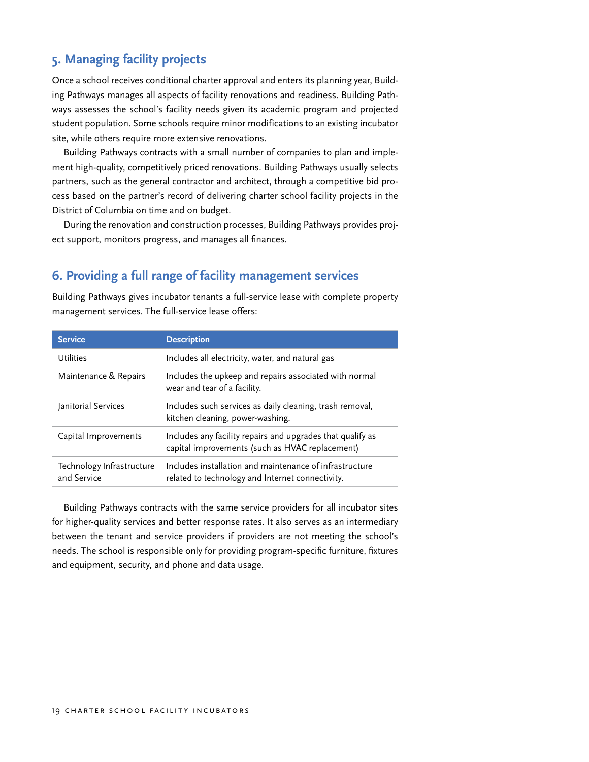# <span id="page-18-0"></span>**5. Managing facility projects**

Once a school receives conditional charter approval and enters its planning year, Building Pathways manages all aspects of facility renovations and readiness. Building Pathways assesses the school's facility needs given its academic program and projected student population. Some schools require minor modifications to an existing incubator site, while others require more extensive renovations.

Building Pathways contracts with a small number of companies to plan and implement high-quality, competitively priced renovations. Building Pathways usually selects partners, such as the general contractor and architect, through a competitive bid process based on the partner's record of delivering charter school facility projects in the District of Columbia on time and on budget.

During the renovation and construction processes, Building Pathways provides project support, monitors progress, and manages all finances.

## **6. Providing a full range of facility management services**

Building Pathways gives incubator tenants a full-service lease with complete property management services. The full-service lease offers:

| <b>Service</b>                           | <b>Description</b>                                                                                            |
|------------------------------------------|---------------------------------------------------------------------------------------------------------------|
| <b>Utilities</b>                         | Includes all electricity, water, and natural gas                                                              |
| Maintenance & Repairs                    | Includes the upkeep and repairs associated with normal<br>wear and tear of a facility.                        |
| Janitorial Services                      | Includes such services as daily cleaning, trash removal,<br>kitchen cleaning, power-washing.                  |
| Capital Improvements                     | Includes any facility repairs and upgrades that qualify as<br>capital improvements (such as HVAC replacement) |
| Technology Infrastructure<br>and Service | Includes installation and maintenance of infrastructure<br>related to technology and Internet connectivity.   |

Building Pathways contracts with the same service providers for all incubator sites for higher-quality services and better response rates. It also serves as an intermediary between the tenant and service providers if providers are not meeting the school's needs. The school is responsible only for providing program-specific furniture, fixtures and equipment, security, and phone and data usage.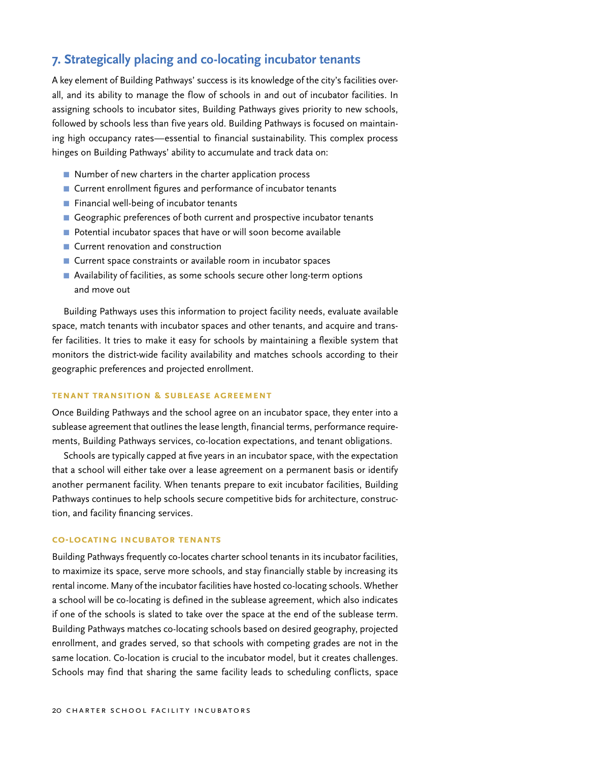# <span id="page-19-0"></span>**7. Strategically placing and co-locating incubator tenants**

A key element of Building Pathways' success is its knowledge of the city's facilities overall, and its ability to manage the flow of schools in and out of incubator facilities. In assigning schools to incubator sites, Building Pathways gives priority to new schools, followed by schools less than five years old. Building Pathways is focused on maintaining high occupancy rates—essential to financial sustainability. This complex process hinges on Building Pathways' ability to accumulate and track data on:

- Number of new charters in the charter application process
- Current enrollment figures and performance of incubator tenants
- Financial well-being of incubator tenants
- Geographic preferences of both current and prospective incubator tenants
- Potential incubator spaces that have or will soon become available
- Current renovation and construction
- Current space constraints or available room in incubator spaces
- Availability of facilities, as some schools secure other long-term options and move out

Building Pathways uses this information to project facility needs, evaluate available space, match tenants with incubator spaces and other tenants, and acquire and transfer facilities. It tries to make it easy for schools by maintaining a flexible system that monitors the district-wide facility availability and matches schools according to their geographic preferences and projected enrollment.

#### **Tenant Transition & Sublease Agreement**

Once Building Pathways and the school agree on an incubator space, they enter into a sublease agreement that outlines the lease length, financial terms, performance requirements, Building Pathways services, co-location expectations, and tenant obligations.

Schools are typically capped at five years in an incubator space, with the expectation that a school will either take over a lease agreement on a permanent basis or identify another permanent facility. When tenants prepare to exit incubator facilities, Building Pathways continues to help schools secure competitive bids for architecture, construction, and facility financing services.

#### **Co-locating Incubator Tenants**

Building Pathways frequently co-locates charter school tenants in its incubator facilities, to maximize its space, serve more schools, and stay financially stable by increasing its rental income. Many of the incubator facilities have hosted co-locating schools. Whether a school will be co-locating is defined in the sublease agreement, which also indicates if one of the schools is slated to take over the space at the end of the sublease term. Building Pathways matches co-locating schools based on desired geography, projected enrollment, and grades served, so that schools with competing grades are not in the same location. Co-location is crucial to the incubator model, but it creates challenges. Schools may find that sharing the same facility leads to scheduling conflicts, space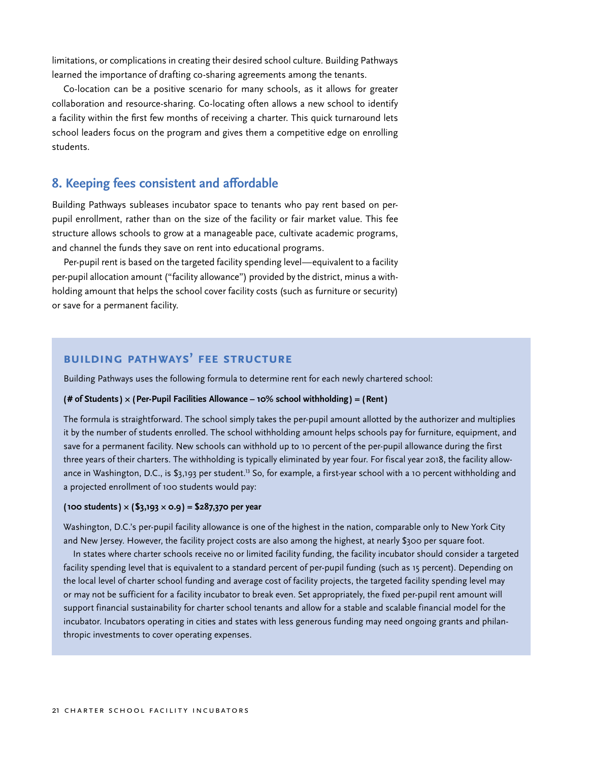<span id="page-20-0"></span>limitations, or complications in creating their desired school culture. Building Pathways learned the importance of drafting co-sharing agreements among the tenants.

Co-location can be a positive scenario for many schools, as it allows for greater collaboration and resource-sharing. Co-locating often allows a new school to identify a facility within the first few months of receiving a charter. This quick turnaround lets school leaders focus on the program and gives them a competitive edge on enrolling students.

#### **8. Keeping fees consistent and affordable**

Building Pathways subleases incubator space to tenants who pay rent based on perpupil enrollment, rather than on the size of the facility or fair market value. This fee structure allows schools to grow at a manageable pace, cultivate academic programs, and channel the funds they save on rent into educational programs.

Per-pupil rent is based on the targeted facility spending level—equivalent to a facility per-pupil allocation amount ("facility allowance") provided by the district, minus a withholding amount that helps the school cover facility costs (such as furniture or security) or save for a permanent facility.

## **Building Pathways' Fee Structure**

Building Pathways uses the following formula to determine rent for each newly chartered school:

#### **(# of Students ) × (Per-Pupil Facilities Allowance – 10% school withholding) = (Rent)**

The formula is straightforward. The school simply takes the per-pupil amount allotted by the authorizer and multiplies it by the number of students enrolled. The school withholding amount helps schools pay for furniture, equipment, and save for a permanent facility. New schools can withhold up to 10 percent of the per-pupil allowance during the first three years of their charters. The withholding is typically eliminated by year four. For fiscal year 2018, the facility allowance in Washington, D.C., is \$3,193 per student.<sup>13</sup> So, for example, a first-year school with a 10 percent withholding and a projected enrollment of 100 students would pay:

#### **(100 students ) × (\$3,193 × 0.9) = \$287,370 per year**

Washington, D.C.'s per-pupil facility allowance is one of the highest in the nation, comparable only to New York City and New Jersey. However, the facility project costs are also among the highest, at nearly \$300 per square foot.

In states where charter schools receive no or limited facility funding, the facility incubator should consider a targeted facility spending level that is equivalent to a standard percent of per-pupil funding (such as 15 percent). Depending on the local level of charter school funding and average cost of facility projects, the targeted facility spending level may or may not be sufficient for a facility incubator to break even. Set appropriately, the fixed per-pupil rent amount will support financial sustainability for charter school tenants and allow for a stable and scalable financial model for the incubator. Incubators operating in cities and states with less generous funding may need ongoing grants and philanthropic investments to cover operating expenses.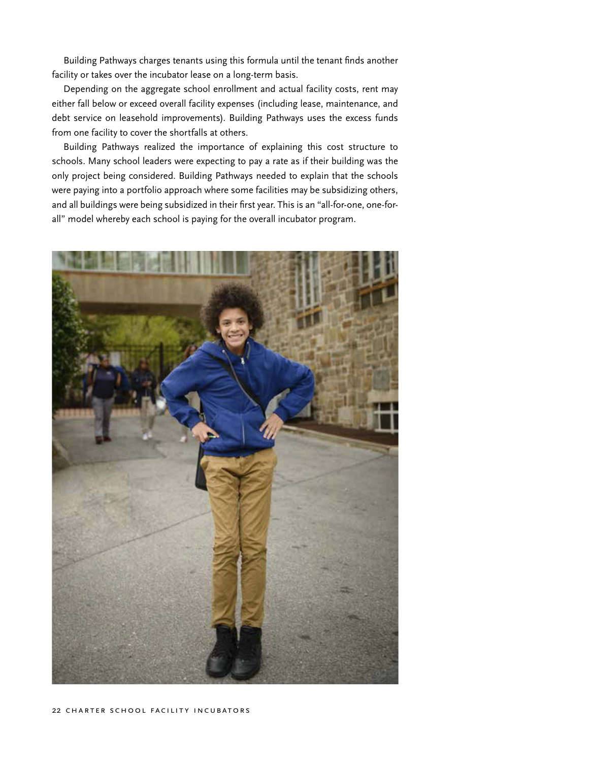Building Pathways charges tenants using this formula until the tenant finds another facility or takes over the incubator lease on a long-term basis.

Depending on the aggregate school enrollment and actual facility costs, rent may either fall below or exceed overall facility expenses (including lease, maintenance, and debt service on leasehold improvements). Building Pathways uses the excess funds from one facility to cover the shortfalls at others.

Building Pathways realized the importance of explaining this cost structure to schools. Many school leaders were expecting to pay a rate as if their building was the only project being considered. Building Pathways needed to explain that the schools were paying into a portfolio approach where some facilities may be subsidizing others, and all buildings were being subsidized in their first year. This is an "all-for-one, one-forall" model whereby each school is paying for the overall incubator program.

![](_page_21_Picture_3.jpeg)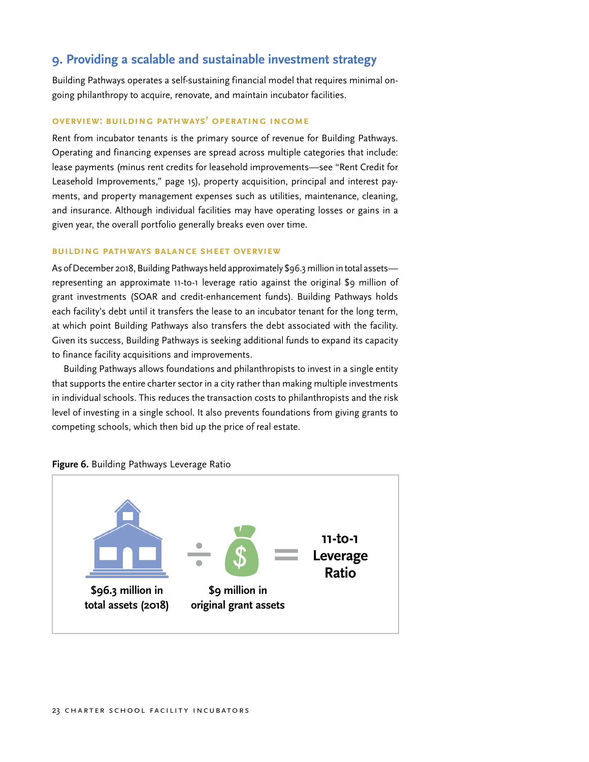# <span id="page-22-0"></span>**9. Providing a scalable and sustainable investment strategy**

Building Pathways operates a self-sustaining financial model that requires minimal ongoing philanthropy to acquire, renovate, and maintain incubator facilities.

#### **Overview: Building Pathways' Operating Income**

Rent from incubator tenants is the primary source of revenue for Building Pathways. Operating and financing expenses are spread across multiple categories that include: lease payments (minus rent credits for leasehold improvements—see "Rent Credit for Leasehold Improvements," page 15), property acquisition, principal and interest payments, and property management expenses such as utilities, maintenance, cleaning, and insurance. Although individual facilities may have operating losses or gains in a given year, the overall portfolio generally breaks even over time.

#### **Building Pathways Balance Sheet Overview**

As of December 2018, Building Pathways held approximately \$96.3 million in total assets representing an approximate 11-to-1 leverage ratio against the original \$9 million of grant investments (SOAR and credit-enhancement funds). Building Pathways holds each facility's debt until it transfers the lease to an incubator tenant for the long term, at which point Building Pathways also transfers the debt associated with the facility. Given its success, Building Pathways is seeking additional funds to expand its capacity to finance facility acquisitions and improvements.

Building Pathways allows foundations and philanthropists to invest in a single entity that supports the entire charter sector in a city rather than making multiple investments in individual schools. This reduces the transaction costs to philanthropists and the risk level of investing in a single school. It also prevents foundations from giving grants to competing schools, which then bid up the price of real estate.

![](_page_22_Figure_7.jpeg)

![](_page_22_Figure_8.jpeg)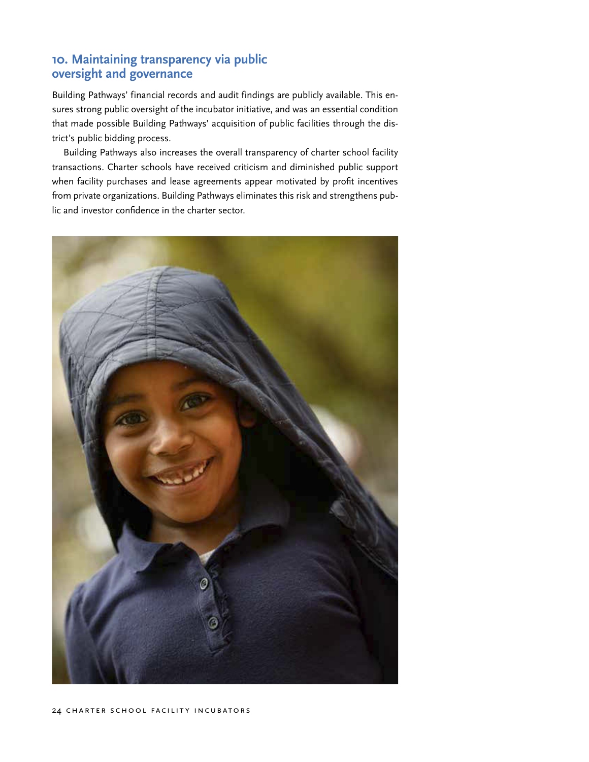# <span id="page-23-0"></span>**10. Maintaining transparency via public oversight and governance**

Building Pathways' financial records and audit findings are publicly available. This ensures strong public oversight of the incubator initiative, and was an essential condition that made possible Building Pathways' acquisition of public facilities through the district's public bidding process.

Building Pathways also increases the overall transparency of charter school facility transactions. Charter schools have received criticism and diminished public support when facility purchases and lease agreements appear motivated by profit incentives from private organizations. Building Pathways eliminates this risk and strengthens public and investor confidence in the charter sector.

![](_page_23_Picture_3.jpeg)

#### 24 CHARTER SCHOOL FACILITY INCUBATORS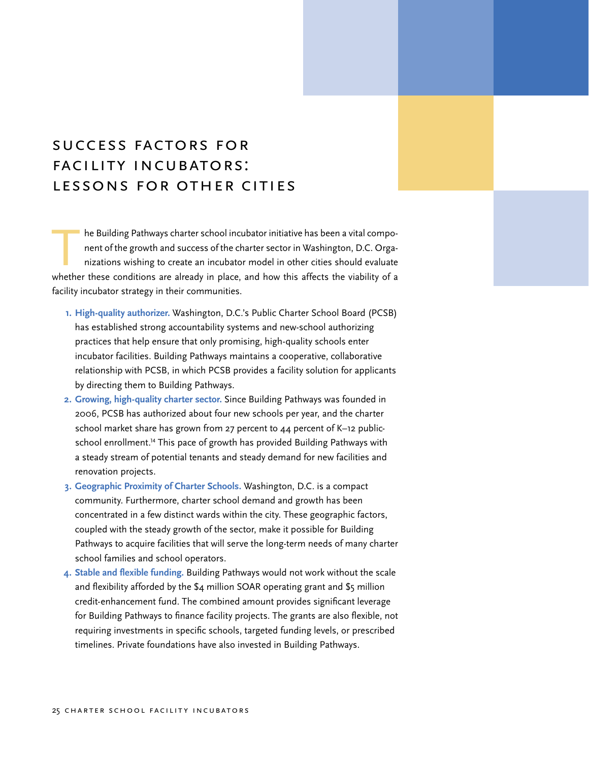# <span id="page-24-0"></span>Success Factors for Facility Incubators: Lessons for Other Cities

he Building Pathways charter school incubator initiative has been a vital component of the growth and success of the charter sector in Washington, D.C. Organizations wishing to create an incubator model in other cities should evaluate whether these conditions are already in place, and how this affects the viability of a facility incubator strategy in their communities.

- **1. High-quality authorizer.** Washington, D.C.'s Public Charter School Board (PCSB) has established strong accountability systems and new-school authorizing practices that help ensure that only promising, high-quality schools enter incubator facilities. Building Pathways maintains a cooperative, collaborative relationship with PCSB, in which PCSB provides a facility solution for applicants by directing them to Building Pathways.
- **2. Growing, high-quality charter sector.** Since Building Pathways was founded in 2006, PCSB has authorized about four new schools per year, and the charter school market share has grown from 27 percent to 44 percent of K–12 publicschool enrollment.<sup>14</sup> This pace of growth has provided Building Pathways with a steady stream of potential tenants and steady demand for new facilities and renovation projects.
- **3. Geographic Proximity of Charter Schools.** Washington, D.C. is a compact community. Furthermore, charter school demand and growth has been concentrated in a few distinct wards within the city. These geographic factors, coupled with the steady growth of the sector, make it possible for Building Pathways to acquire facilities that will serve the long-term needs of many charter school families and school operators.
- **4. Stable and flexible funding.** Building Pathways would not work without the scale and flexibility afforded by the \$4 million SOAR operating grant and \$5 million credit-enhancement fund. The combined amount provides significant leverage for Building Pathways to finance facility projects. The grants are also flexible, not requiring investments in specific schools, targeted funding levels, or prescribed timelines. Private foundations have also invested in Building Pathways.